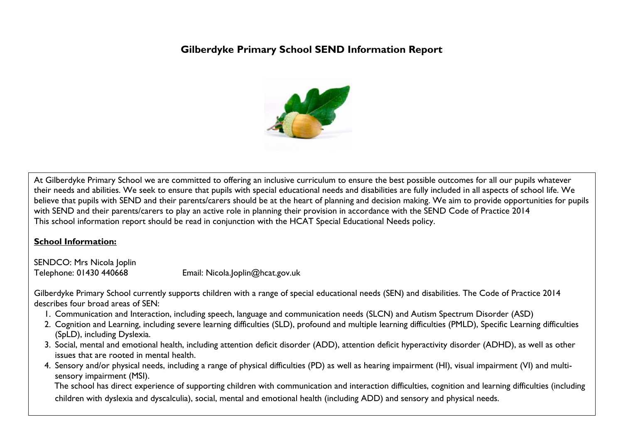# **Gilberdyke Primary School SEND Information Report**



At Gilberdyke Primary School we are committed to offering an inclusive curriculum to ensure the best possible outcomes for all our pupils whatever their needs and abilities. We seek to ensure that pupils with special educational needs and disabilities are fully included in all aspects of school life. We believe that pupils with SEND and their parents/carers should be at the heart of planning and decision making. We aim to provide opportunities for pupils with SEND and their parents/carers to play an active role in planning their provision in accordance with the SEND Code of Practice 2014 This school information report should be read in conjunction with the HCAT Special Educational Needs policy.

## **School Information:**

SENDCO: Mrs Nicola Joplin

Telephone: 01430 440668 Email: Nicola.Joplin@hcat.gov.uk

Gilberdyke Primary School currently supports children with a range of special educational needs (SEN) and disabilities. The Code of Practice 2014 describes four broad areas of SEN:

- 1. Communication and Interaction, including speech, language and communication needs (SLCN) and Autism Spectrum Disorder (ASD)
- 2. Cognition and Learning, including severe learning difficulties (SLD), profound and multiple learning difficulties (PMLD), Specific Learning difficulties (SpLD), including Dyslexia.
- 3. Social, mental and emotional health, including attention deficit disorder (ADD), attention deficit hyperactivity disorder (ADHD), as well as other issues that are rooted in mental health.
- 4. Sensory and/or physical needs, including a range of physical difficulties (PD) as well as hearing impairment (HI), visual impairment (VI) and multisensory impairment (MSI).

 The school has direct experience of supporting children with communication and interaction difficulties, cognition and learning difficulties (including children with dyslexia and dyscalculia), social, mental and emotional health (including ADD) and sensory and physical needs.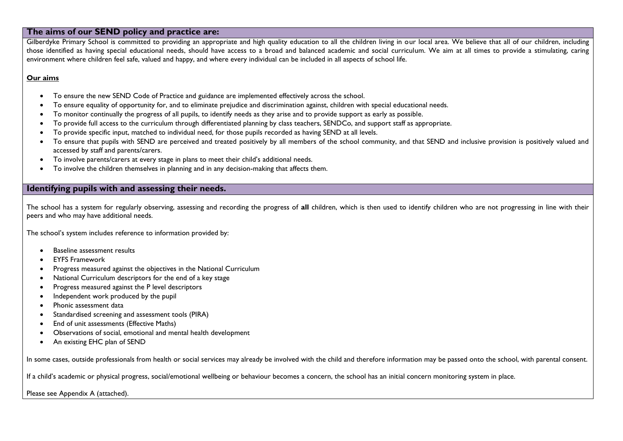### **The aims of our SEND policy and practice are:**

Gilberdyke Primary School is committed to providing an appropriate and high quality education to all the children living in our local area. We believe that all of our children, including those identified as having special educational needs, should have access to a broad and balanced academic and social curriculum. We aim at all times to provide a stimulating, caring environment where children feel safe, valued and happy, and where every individual can be included in all aspects of school life.

#### **Our aims**

- To ensure the new SEND Code of Practice and guidance are implemented effectively across the school.
- To ensure equality of opportunity for, and to eliminate prejudice and discrimination against, children with special educational needs.
- To monitor continually the progress of all pupils, to identify needs as they arise and to provide support as early as possible.
- To provide full access to the curriculum through differentiated planning by class teachers, SENDCo, and support staff as appropriate.
- To provide specific input, matched to individual need, for those pupils recorded as having SEND at all levels.
- To ensure that pupils with SEND are perceived and treated positively by all members of the school community, and that SEND and inclusive provision is positively valued and accessed by staff and parents/carers.
- To involve parents/carers at every stage in plans to meet their child's additional needs.
- To involve the children themselves in planning and in any decision-making that affects them.

### **Identifying pupils with and assessing their needs.**

The school has a system for regularly observing, assessing and recording the progress of **all** children, which is then used to identify children who are not progressing in line with their peers and who may have additional needs.

The school's system includes reference to information provided by:

- Baseline assessment results
- EYFS Framework
- Progress measured against the objectives in the National Curriculum
- National Curriculum descriptors for the end of a key stage
- Progress measured against the P level descriptors
- Independent work produced by the pupil
- Phonic assessment data
- Standardised screening and assessment tools (PIRA)
- End of unit assessments (Effective Maths)
- Observations of social, emotional and mental health development
- An existing EHC plan of SEND

In some cases, outside professionals from health or social services may already be involved with the child and therefore information may be passed onto the school, with parental consent.

If a child's academic or physical progress, social/emotional wellbeing or behaviour becomes a concern, the school has an initial concern monitoring system in place.

Please see Appendix A (attached).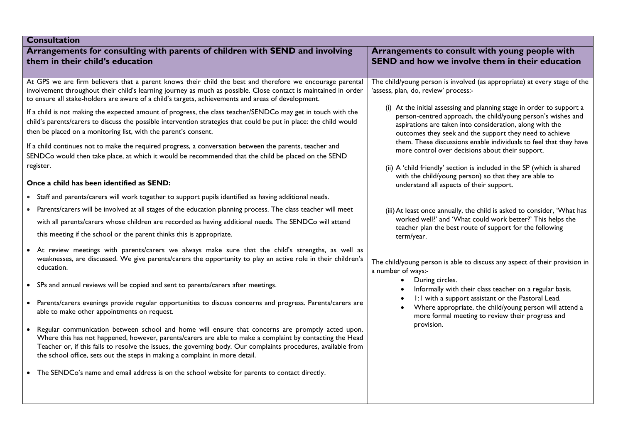| <b>Consultation</b>                                                                                                                                                                                                                                                                                                                                                                                                                                                                                                                                                                                                                                                                                                                                                                                                                                                                                                                                                                                                                                                                                                                                                                                                                                                                                                                                                                                                                                                                                                                                                                                                                                                                                                                                                                                                                                                                                                                                                                                                                                                                                                                                                                                                                                                  |                                                                                                                                                                                                                                                                                                                                                                                                                                                                                                                                                                                                                                                                                                                                                                                                                                                                                                                                                                                                                                                                                                                                                                                                                                                                                                |  |  |
|----------------------------------------------------------------------------------------------------------------------------------------------------------------------------------------------------------------------------------------------------------------------------------------------------------------------------------------------------------------------------------------------------------------------------------------------------------------------------------------------------------------------------------------------------------------------------------------------------------------------------------------------------------------------------------------------------------------------------------------------------------------------------------------------------------------------------------------------------------------------------------------------------------------------------------------------------------------------------------------------------------------------------------------------------------------------------------------------------------------------------------------------------------------------------------------------------------------------------------------------------------------------------------------------------------------------------------------------------------------------------------------------------------------------------------------------------------------------------------------------------------------------------------------------------------------------------------------------------------------------------------------------------------------------------------------------------------------------------------------------------------------------------------------------------------------------------------------------------------------------------------------------------------------------------------------------------------------------------------------------------------------------------------------------------------------------------------------------------------------------------------------------------------------------------------------------------------------------------------------------------------------------|------------------------------------------------------------------------------------------------------------------------------------------------------------------------------------------------------------------------------------------------------------------------------------------------------------------------------------------------------------------------------------------------------------------------------------------------------------------------------------------------------------------------------------------------------------------------------------------------------------------------------------------------------------------------------------------------------------------------------------------------------------------------------------------------------------------------------------------------------------------------------------------------------------------------------------------------------------------------------------------------------------------------------------------------------------------------------------------------------------------------------------------------------------------------------------------------------------------------------------------------------------------------------------------------|--|--|
| Arrangements for consulting with parents of children with SEND and involving<br>them in their child's education                                                                                                                                                                                                                                                                                                                                                                                                                                                                                                                                                                                                                                                                                                                                                                                                                                                                                                                                                                                                                                                                                                                                                                                                                                                                                                                                                                                                                                                                                                                                                                                                                                                                                                                                                                                                                                                                                                                                                                                                                                                                                                                                                      | Arrangements to consult with young people with<br><b>SEND and how we involve them in their education</b>                                                                                                                                                                                                                                                                                                                                                                                                                                                                                                                                                                                                                                                                                                                                                                                                                                                                                                                                                                                                                                                                                                                                                                                       |  |  |
| At GPS we are firm believers that a parent knows their child the best and therefore we encourage parental<br>involvement throughout their child's learning journey as much as possible. Close contact is maintained in order<br>to ensure all stake-holders are aware of a child's targets, achievements and areas of development.<br>If a child is not making the expected amount of progress, the class teacher/SENDCo may get in touch with the<br>child's parents/carers to discuss the possible intervention strategies that could be put in place: the child would<br>then be placed on a monitoring list, with the parent's consent.<br>If a child continues not to make the required progress, a conversation between the parents, teacher and<br>SENDCo would then take place, at which it would be recommended that the child be placed on the SEND<br>register.<br>Once a child has been identified as SEND:<br>• Staff and parents/carers will work together to support pupils identified as having additional needs.<br>Parents/carers will be involved at all stages of the education planning process. The class teacher will meet<br>$\bullet$<br>with all parents/carers whose children are recorded as having additional needs. The SENDCo will attend<br>this meeting if the school or the parent thinks this is appropriate.<br>At review meetings with parents/carers we always make sure that the child's strengths, as well as<br>weaknesses, are discussed. We give parents/carers the opportunity to play an active role in their children's<br>education.<br>• SPs and annual reviews will be copied and sent to parents/carers after meetings.<br>Parents/carers evenings provide regular opportunities to discuss concerns and progress. Parents/carers are<br>$\bullet$<br>able to make other appointments on request.<br>Regular communication between school and home will ensure that concerns are promptly acted upon.<br>Where this has not happened, however, parents/carers are able to make a complaint by contacting the Head<br>Teacher or, if this fails to resolve the issues, the governing body. Our complaints procedures, available from<br>the school office, sets out the steps in making a complaint in more detail. | The child/young person is involved (as appropriate) at every stage of the<br>'assess, plan, do, review' process:-<br>(i) At the initial assessing and planning stage in order to support a<br>person-centred approach, the child/young person's wishes and<br>aspirations are taken into consideration, along with the<br>outcomes they seek and the support they need to achieve<br>them. These discussions enable individuals to feel that they have<br>more control over decisions about their support.<br>(ii) A 'child friendly' section is included in the SP (which is shared<br>with the child/young person) so that they are able to<br>understand all aspects of their support.<br>(iii) At least once annually, the child is asked to consider, 'What has<br>worked well?' and 'What could work better?' This helps the<br>teacher plan the best route of support for the following<br>term/year.<br>The child/young person is able to discuss any aspect of their provision in<br>a number of ways:-<br>During circles.<br>$\bullet$<br>Informally with their class teacher on a regular basis.<br>1:1 with a support assistant or the Pastoral Lead.<br>Where appropriate, the child/young person will attend a<br>more formal meeting to review their progress and<br>provision. |  |  |
| • The SENDCo's name and email address is on the school website for parents to contact directly.                                                                                                                                                                                                                                                                                                                                                                                                                                                                                                                                                                                                                                                                                                                                                                                                                                                                                                                                                                                                                                                                                                                                                                                                                                                                                                                                                                                                                                                                                                                                                                                                                                                                                                                                                                                                                                                                                                                                                                                                                                                                                                                                                                      |                                                                                                                                                                                                                                                                                                                                                                                                                                                                                                                                                                                                                                                                                                                                                                                                                                                                                                                                                                                                                                                                                                                                                                                                                                                                                                |  |  |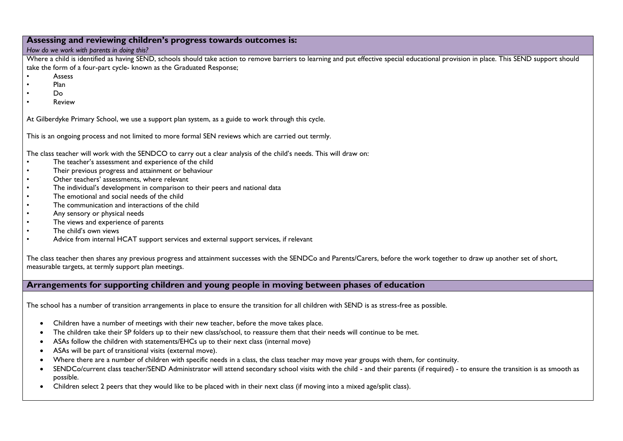#### **Assessing and reviewing children's progress towards outcomes is:**

#### *How do we work with parents in doing this?*

Where a child is identified as having SEND, schools should take action to remove barriers to learning and put effective special educational provision in place. This SEND support should take the form of a four-part cycle- known as the Graduated Response;

- Assess
- Plan
- $D<sub>0</sub>$
- Review

At Gilberdyke Primary School, we use a support plan system, as a guide to work through this cycle.

This is an ongoing process and not limited to more formal SEN reviews which are carried out termly.

The class teacher will work with the SENDCO to carry out a clear analysis of the child's needs. This will draw on:

- The teacher's assessment and experience of the child
- Their previous progress and attainment or behaviour
- Other teachers' assessments, where relevant
- The individual's development in comparison to their peers and national data
- The emotional and social needs of the child
- The communication and interactions of the child
- Any sensory or physical needs
- The views and experience of parents
- The child's own views
- Advice from internal HCAT support services and external support services, if relevant

The class teacher then shares any previous progress and attainment successes with the SENDCo and Parents/Carers, before the work together to draw up another set of short, measurable targets, at termly support plan meetings.

### **Arrangements for supporting children and young people in moving between phases of education**

The school has a number of transition arrangements in place to ensure the transition for all children with SEND is as stress-free as possible.

- Children have a number of meetings with their new teacher, before the move takes place.
- The children take their SP folders up to their new class/school, to reassure them that their needs will continue to be met.
- ASAs follow the children with statements/EHCs up to their next class (internal move)
- ASAs will be part of transitional visits (external move).
- Where there are a number of children with specific needs in a class, the class teacher may move year groups with them, for continuity.
- SENDCo/current class teacher/SEND Administrator will attend secondary school visits with the child and their parents (if required) to ensure the transition is as smooth as possible.
- Children select 2 peers that they would like to be placed with in their next class (if moving into a mixed age/split class).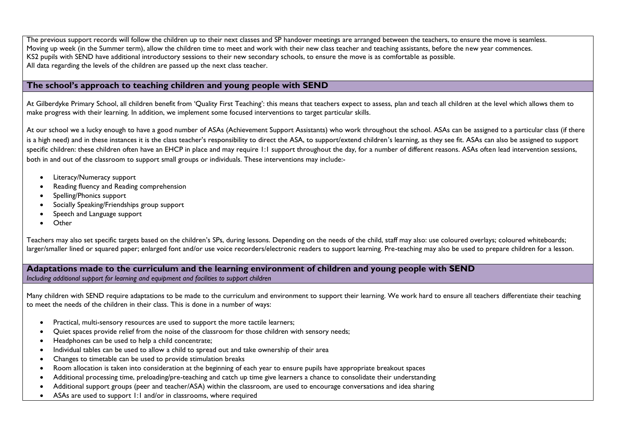The previous support records will follow the children up to their next classes and SP handover meetings are arranged between the teachers, to ensure the move is seamless. Moving up week (in the Summer term), allow the children time to meet and work with their new class teacher and teaching assistants, before the new year commences. KS2 pupils with SEND have additional introductory sessions to their new secondary schools, to ensure the move is as comfortable as possible. All data regarding the levels of the children are passed up the next class teacher.

### **The school's approach to teaching children and young people with SEND**

At Gilberdyke Primary School, all children benefit from 'Quality First Teaching': this means that teachers expect to assess, plan and teach all children at the level which allows them to make progress with their learning. In addition, we implement some focused interventions to target particular skills.

At our school we a lucky enough to have a good number of ASAs (Achievement Support Assistants) who work throughout the school. ASAs can be assigned to a particular class (if there is a high need) and in these instances it is the class teacher's responsibility to direct the ASA, to support/extend children's learning, as they see fit. ASAs can also be assigned to support specific children: these children often have an EHCP in place and may require 1:1 support throughout the day, for a number of different reasons. ASAs often lead intervention sessions, both in and out of the classroom to support small groups or individuals. These interventions may include:-

- Literacy/Numeracy support
- Reading fluency and Reading comprehension
- Spelling/Phonics support
- Socially Speaking/Friendships group support
- Speech and Language support
- **Other**

Teachers may also set specific targets based on the children's SPs, during lessons. Depending on the needs of the child, staff may also: use coloured overlays; coloured whiteboards; larger/smaller lined or squared paper; enlarged font and/or use voice recorders/electronic readers to support learning. Pre-teaching may also be used to prepare children for a lesson.

**Adaptations made to the curriculum and the learning environment of children and young people with SEND** *Including additional support for learning and equipment and facilities to support children*

Many children with SEND require adaptations to be made to the curriculum and environment to support their learning. We work hard to ensure all teachers differentiate their teaching to meet the needs of the children in their class. This is done in a number of ways:

- Practical, multi-sensory resources are used to support the more tactile learners;
- Quiet spaces provide relief from the noise of the classroom for those children with sensory needs;
- Headphones can be used to help a child concentrate;
- Individual tables can be used to allow a child to spread out and take ownership of their area
- Changes to timetable can be used to provide stimulation breaks
- Room allocation is taken into consideration at the beginning of each year to ensure pupils have appropriate breakout spaces
- Additional processing time, preloading/pre-teaching and catch up time give learners a chance to consolidate their understanding
- Additional support groups (peer and teacher/ASA) within the classroom, are used to encourage conversations and idea sharing
- ASAs are used to support 1:1 and/or in classrooms, where required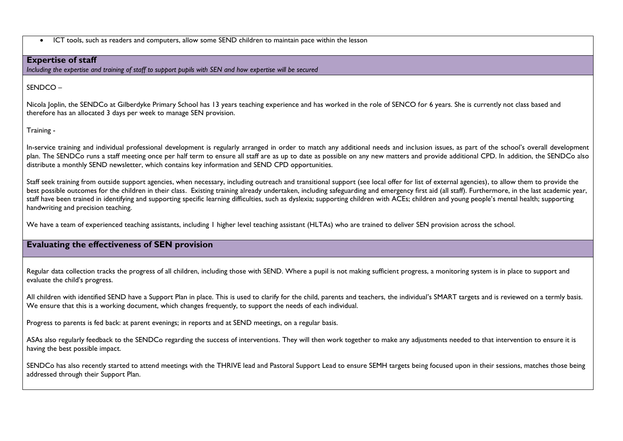ICT tools, such as readers and computers, allow some SEND children to maintain pace within the lesson

#### **Expertise of staff**

*Including the expertise and training of staff to support pupils with SEN and how expertise will be secured*

SENDCO –

Nicola Joplin, the SENDCo at Gilberdyke Primary School has 13 years teaching experience and has worked in the role of SENCO for 6 years. She is currently not class based and therefore has an allocated 3 days per week to manage SEN provision.

Training -

In-service training and individual professional development is regularly arranged in order to match any additional needs and inclusion issues, as part of the school's overall development plan. The SENDCo runs a staff meeting once per half term to ensure all staff are as up to date as possible on any new matters and provide additional CPD. In addition, the SENDCo also distribute a monthly SEND newsletter, which contains key information and SEND CPD opportunities.

Staff seek training from outside support agencies, when necessary, including outreach and transitional support (see local offer for list of external agencies), to allow them to provide the best possible outcomes for the children in their class. Existing training already undertaken, including safeguarding and emergency first aid (all staff). Furthermore, in the last academic year, staff have been trained in identifying and supporting specific learning difficulties, such as dyslexia; supporting children with ACEs; children and young people's mental health; supporting handwriting and precision teaching.

We have a team of experienced teaching assistants, including I higher level teaching assistant (HLTAs) who are trained to deliver SEN provision across the school.

### **Evaluating the effectiveness of SEN provision**

Regular data collection tracks the progress of all children, including those with SEND. Where a pupil is not making sufficient progress, a monitoring system is in place to support and evaluate the child's progress.

All children with identified SEND have a Support Plan in place. This is used to clarify for the child, parents and teachers, the individual's SMART targets and is reviewed on a termly basis. We ensure that this is a working document, which changes frequently, to support the needs of each individual.

Progress to parents is fed back: at parent evenings; in reports and at SEND meetings, on a regular basis.

ASAs also regularly feedback to the SENDCo regarding the success of interventions. They will then work together to make any adjustments needed to that intervention to ensure it is having the best possible impact.

SENDCo has also recently started to attend meetings with the THRIVE lead and Pastoral Support Lead to ensure SEMH targets being focused upon in their sessions, matches those being addressed through their Support Plan.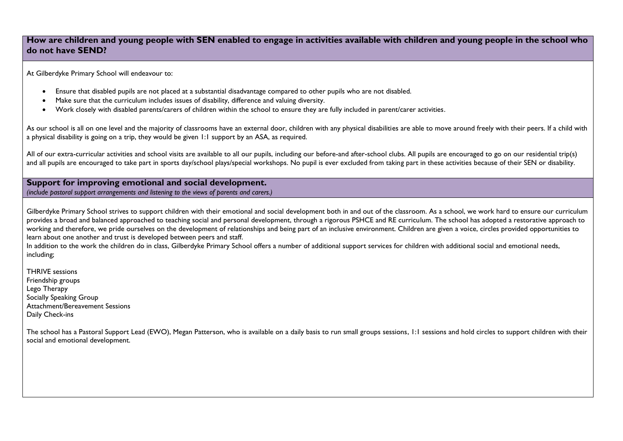### **How are children and young people with SEN enabled to engage in activities available with children and young people in the school who do not have SEND?**

At Gilberdyke Primary School will endeavour to:

- Ensure that disabled pupils are not placed at a substantial disadvantage compared to other pupils who are not disabled.
- Make sure that the curriculum includes issues of disability, difference and valuing diversity.
- Work closely with disabled parents/carers of children within the school to ensure they are fully included in parent/carer activities.

As our school is all on one level and the majority of classrooms have an external door, children with any physical disabilities are able to move around freely with their peers. If a child with a physical disability is going on a trip, they would be given 1:1 support by an ASA, as required.

All of our extra-curricular activities and school visits are available to all our pupils, including our before-and after-school clubs. All pupils are encouraged to go on our residential trip(s) and all pupils are encouraged to take part in sports day/school plays/special workshops. No pupil is ever excluded from taking part in these activities because of their SEN or disability.

**Support for improving emotional and social development.**  *(include pastoral support arrangements and listening to the views of parents and carers.)*

Gilberdyke Primary School strives to support children with their emotional and social development both in and out of the classroom. As a school, we work hard to ensure our curriculum provides a broad and balanced approached to teaching social and personal development, through a rigorous PSHCE and RE curriculum. The school has adopted a restorative approach to working and therefore, we pride ourselves on the development of relationships and being part of an inclusive environment. Children are given a voice, circles provided opportunities to learn about one another and trust is developed between peers and staff.

In addition to the work the children do in class, Gilberdyke Primary School offers a number of additional support services for children with additional social and emotional needs, including;

THRIVE sessions Friendship groups Lego Therapy Socially Speaking Group Attachment/Bereavement Sessions Daily Check-ins

The school has a Pastoral Support Lead (EWO), Megan Patterson, who is available on a daily basis to run small groups sessions, 1:1 sessions and hold circles to support children with their social and emotional development.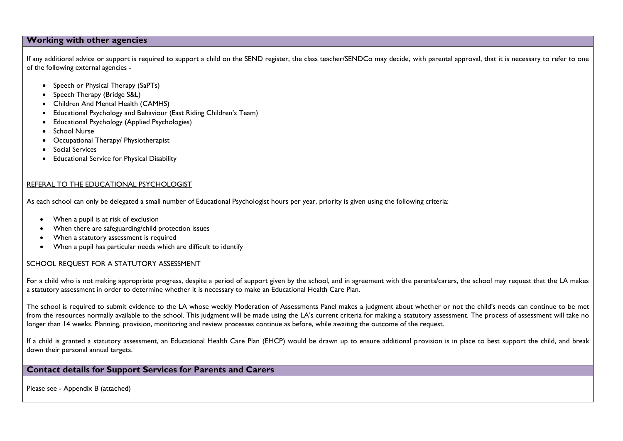### **Working with other agencies**

If any additional advice or support is required to support a child on the SEND register, the class teacher/SENDCo may decide, with parental approval, that it is necessary to refer to one of the following external agencies -

- Speech or Physical Therapy (SaPTs)
- Speech Therapy (Bridge S&L)
- Children And Mental Health (CAMHS)
- Educational Psychology and Behaviour (East Riding Children's Team)
- Educational Psychology (Applied Psychologies)
- School Nurse
- Occupational Therapy/ Physiotherapist
- Social Services
- Educational Service for Physical Disability

#### REFERAL TO THE EDUCATIONAL PSYCHOLOGIST

As each school can only be delegated a small number of Educational Psychologist hours per year, priority is given using the following criteria:

- When a pupil is at risk of exclusion
- When there are safeguarding/child protection issues
- When a statutory assessment is required
- When a pupil has particular needs which are difficult to identify

#### SCHOOL REQUEST FOR A STATUTORY ASSESSMENT

For a child who is not making appropriate progress, despite a period of support given by the school, and in agreement with the parents/carers, the school may request that the LA makes a statutory assessment in order to determine whether it is necessary to make an Educational Health Care Plan.

The school is required to submit evidence to the LA whose weekly Moderation of Assessments Panel makes a judgment about whether or not the child's needs can continue to be met from the resources normally available to the school. This judgment will be made using the LA's current criteria for making a statutory assessment. The process of assessment will take no longer than 14 weeks. Planning, provision, monitoring and review processes continue as before, while awaiting the outcome of the request.

If a child is granted a statutory assessment, an Educational Health Care Plan (EHCP) would be drawn up to ensure additional provision is in place to best support the child, and break down their personal annual targets.

### **Contact details for Support Services for Parents and Carers**

Please see - Appendix B (attached)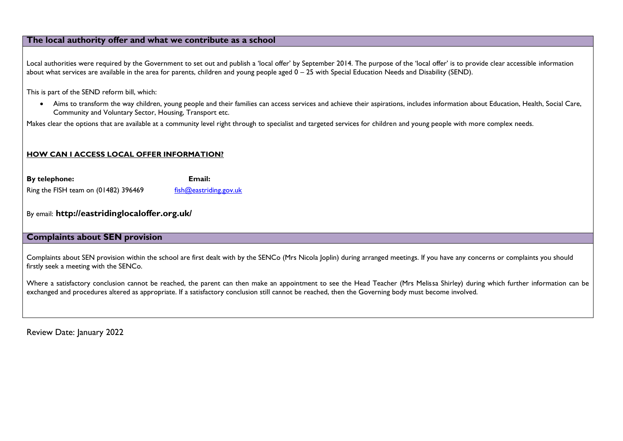### **The local authority offer and what we contribute as a school**

Local authorities were required by the Government to set out and publish a 'local offer' by September 2014. The purpose of the 'local offer' is to provide clear accessible information about what services are available in the area for parents, children and young people aged 0 – 25 with Special Education Needs and Disability (SEND).

This is part of the SEND reform bill, which:

 Aims to transform the way children, young people and their families can access services and achieve their aspirations, includes information about Education, Health, Social Care, Community and Voluntary Sector, Housing, Transport etc.

Makes clear the options that are available at a community level right through to specialist and targeted services for children and young people with more complex needs.

#### **HOW CAN I ACCESS LOCAL OFFER INFORMATION?**

**By telephone: Email:** Ring the FISH team on (01482) 396469  $\frac{f_{\text{ish}}(Q_{\text{eastriding.}g_{\text{OV.}uk})}{f_{\text{ish}}}$ 

By email: **http://eastridinglocaloffer.org.uk/**

#### **Complaints about SEN provision**

Complaints about SEN provision within the school are first dealt with by the SENCo (Mrs Nicola Joplin) during arranged meetings. If you have any concerns or complaints you should firstly seek a meeting with the SENCo.

Where a satisfactory conclusion cannot be reached, the parent can then make an appointment to see the Head Teacher (Mrs Melissa Shirley) during which further information can be exchanged and procedures altered as appropriate. If a satisfactory conclusion still cannot be reached, then the Governing body must become involved.

Review Date: January 2022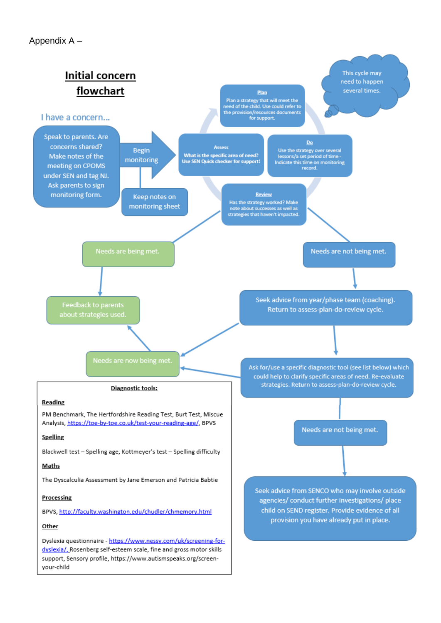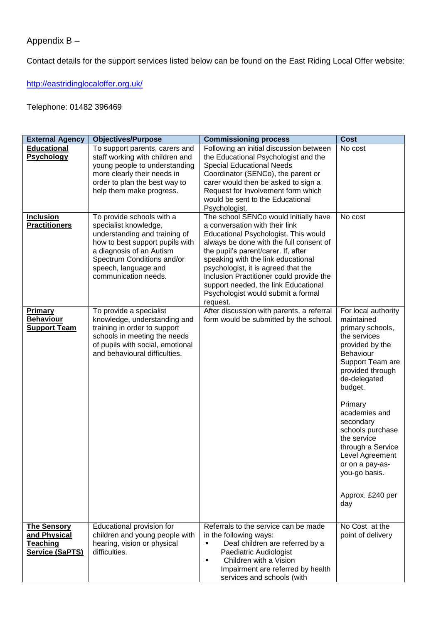# Appendix B –

Contact details for the support services listed below can be found on the East Riding Local Offer website:

<http://eastridinglocaloffer.org.uk/>

## Telephone: 01482 396469

| <b>External Agency</b>                                                   | <b>Objectives/Purpose</b>                                                                                                                                                                                                        | <b>Commissioning process</b>                                                                                                                                                                                                                                                                                                                                                                                         | <b>Cost</b>                                                                                                                                                                                                                                                                                                                                                        |
|--------------------------------------------------------------------------|----------------------------------------------------------------------------------------------------------------------------------------------------------------------------------------------------------------------------------|----------------------------------------------------------------------------------------------------------------------------------------------------------------------------------------------------------------------------------------------------------------------------------------------------------------------------------------------------------------------------------------------------------------------|--------------------------------------------------------------------------------------------------------------------------------------------------------------------------------------------------------------------------------------------------------------------------------------------------------------------------------------------------------------------|
| <b>Educational</b><br><b>Psychology</b>                                  | To support parents, carers and<br>staff working with children and<br>young people to understanding<br>more clearly their needs in<br>order to plan the best way to<br>help them make progress.                                   | Following an initial discussion between<br>the Educational Psychologist and the<br><b>Special Educational Needs</b><br>Coordinator (SENCo), the parent or<br>carer would then be asked to sign a<br>Request for Involvement form which<br>would be sent to the Educational<br>Psychologist.                                                                                                                          | No cost                                                                                                                                                                                                                                                                                                                                                            |
| <b>Inclusion</b><br><b>Practitioners</b>                                 | To provide schools with a<br>specialist knowledge,<br>understanding and training of<br>how to best support pupils with<br>a diagnosis of an Autism<br>Spectrum Conditions and/or<br>speech, language and<br>communication needs. | The school SENCo would initially have<br>a conversation with their link<br>Educational Psychologist. This would<br>always be done with the full consent of<br>the pupil's parent/carer. If, after<br>speaking with the link educational<br>psychologist, it is agreed that the<br>Inclusion Practitioner could provide the<br>support needed, the link Educational<br>Psychologist would submit a formal<br>request. | No cost                                                                                                                                                                                                                                                                                                                                                            |
| Primary<br><b>Behaviour</b><br><b>Support Team</b>                       | To provide a specialist<br>knowledge, understanding and<br>training in order to support<br>schools in meeting the needs<br>of pupils with social, emotional<br>and behavioural difficulties.                                     | After discussion with parents, a referral<br>form would be submitted by the school.                                                                                                                                                                                                                                                                                                                                  | For local authority<br>maintained<br>primary schools,<br>the services<br>provided by the<br><b>Behaviour</b><br>Support Team are<br>provided through<br>de-delegated<br>budget.<br>Primary<br>academies and<br>secondary<br>schools purchase<br>the service<br>through a Service<br>Level Agreement<br>or on a pay-as-<br>you-go basis.<br>Approx. £240 per<br>day |
| <b>The Sensory</b><br>and Physical<br>Teaching<br><b>Service (SaPTS)</b> | Educational provision for<br>children and young people with<br>hearing, vision or physical<br>difficulties.                                                                                                                      | Referrals to the service can be made<br>in the following ways:<br>Deaf children are referred by a<br>٠<br>Paediatric Audiologist<br>Children with a Vision<br>٠<br>Impairment are referred by health<br>services and schools (with                                                                                                                                                                                   | No Cost at the<br>point of delivery                                                                                                                                                                                                                                                                                                                                |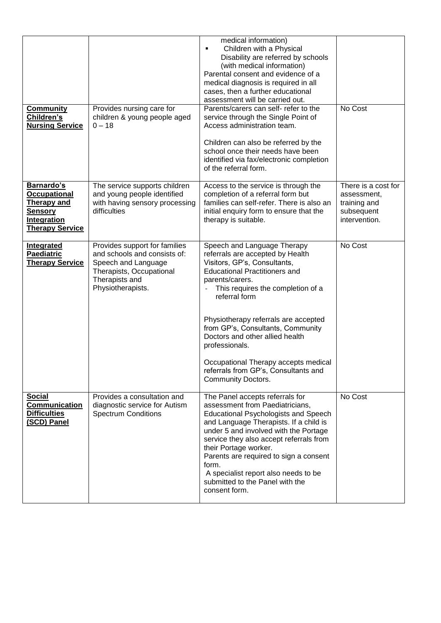|                                                                                                                           |                                                                                                                                                         | medical information)<br>Children with a Physical<br>٠<br>Disability are referred by schools<br>(with medical information)<br>Parental consent and evidence of a<br>medical diagnosis is required in all<br>cases, then a further educational<br>assessment will be carried out.                                                                                                                                                                                 |                                                                                   |
|---------------------------------------------------------------------------------------------------------------------------|---------------------------------------------------------------------------------------------------------------------------------------------------------|-----------------------------------------------------------------------------------------------------------------------------------------------------------------------------------------------------------------------------------------------------------------------------------------------------------------------------------------------------------------------------------------------------------------------------------------------------------------|-----------------------------------------------------------------------------------|
| <b>Community</b><br>Children's<br><b>Nursing Service</b>                                                                  | Provides nursing care for<br>children & young people aged<br>$0 - 18$                                                                                   | Parents/carers can self- refer to the<br>service through the Single Point of<br>Access administration team.<br>Children can also be referred by the<br>school once their needs have been<br>identified via fax/electronic completion<br>of the referral form.                                                                                                                                                                                                   | No Cost                                                                           |
| Barnardo's<br><b>Occupational</b><br><b>Therapy and</b><br><b>Sensory</b><br><b>Integration</b><br><b>Therapy Service</b> | The service supports children<br>and young people identified<br>with having sensory processing<br>difficulties                                          | Access to the service is through the<br>completion of a referral form but<br>families can self-refer. There is also an<br>initial enquiry form to ensure that the<br>therapy is suitable.                                                                                                                                                                                                                                                                       | There is a cost for<br>assessment,<br>training and<br>subsequent<br>intervention. |
| <b>Integrated</b><br>Paediatric<br><b>Therapy Service</b>                                                                 | Provides support for families<br>and schools and consists of:<br>Speech and Language<br>Therapists, Occupational<br>Therapists and<br>Physiotherapists. | Speech and Language Therapy<br>referrals are accepted by Health<br>Visitors, GP's, Consultants,<br><b>Educational Practitioners and</b><br>parents/carers.<br>This requires the completion of a<br>referral form<br>Physiotherapy referrals are accepted<br>from GP's, Consultants, Community<br>Doctors and other allied health<br>professionals.<br>Occupational Therapy accepts medical<br>referrals from GP's, Consultants and<br><b>Community Doctors.</b> | No Cost                                                                           |
| <b>Social</b><br><b>Communication</b><br><b>Difficulties</b><br>(SCD) Panel                                               | Provides a consultation and<br>diagnostic service for Autism<br><b>Spectrum Conditions</b>                                                              | The Panel accepts referrals for<br>assessment from Paediatricians.<br><b>Educational Psychologists and Speech</b><br>and Language Therapists. If a child is<br>under 5 and involved with the Portage<br>service they also accept referrals from<br>their Portage worker.<br>Parents are required to sign a consent<br>form.<br>A specialist report also needs to be<br>submitted to the Panel with the<br>consent form.                                         | No Cost                                                                           |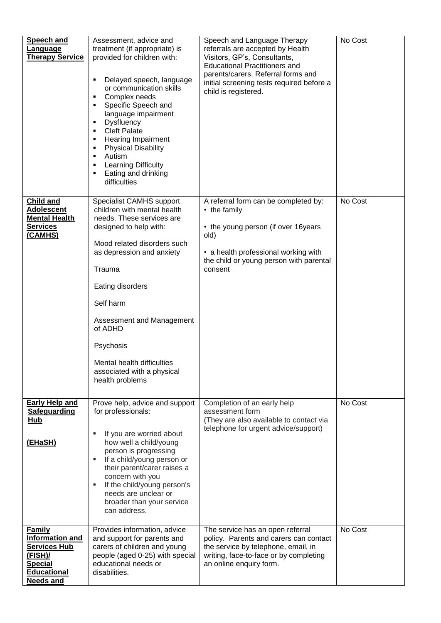| <b>Speech and</b><br>Language<br><b>Therapy Service</b>                                                                                  | Assessment, advice and<br>treatment (if appropriate) is<br>provided for children with:<br>Delayed speech, language<br>or communication skills<br>Complex needs<br>٠<br>Specific Speech and<br>٠<br>language impairment<br><b>Dysfluency</b><br>٠<br><b>Cleft Palate</b><br>٠<br>Hearing Impairment<br>٠<br><b>Physical Disability</b><br>٠<br>Autism<br>٠<br><b>Learning Difficulty</b><br>٠<br>Eating and drinking<br>difficulties | Speech and Language Therapy<br>referrals are accepted by Health<br>Visitors, GP's, Consultants,<br><b>Educational Practitioners and</b><br>parents/carers. Referral forms and<br>initial screening tests required before a<br>child is registered. | No Cost |
|------------------------------------------------------------------------------------------------------------------------------------------|-------------------------------------------------------------------------------------------------------------------------------------------------------------------------------------------------------------------------------------------------------------------------------------------------------------------------------------------------------------------------------------------------------------------------------------|----------------------------------------------------------------------------------------------------------------------------------------------------------------------------------------------------------------------------------------------------|---------|
| <b>Child and</b><br><b>Adolescent</b><br><b>Mental Health</b><br><b>Services</b><br>(CAMHS)                                              | Specialist CAMHS support<br>children with mental health<br>needs. These services are<br>designed to help with:<br>Mood related disorders such<br>as depression and anxiety<br>Trauma<br>Eating disorders<br>Self harm<br>Assessment and Management<br>of ADHD<br>Psychosis<br>Mental health difficulties<br>associated with a physical<br>health problems                                                                           | A referral form can be completed by:<br>• the family<br>• the young person (if over 16years<br>old)<br>• a health professional working with<br>the child or young person with parental<br>consent                                                  | No Cost |
| <b>Early Help and</b><br><b>Safeguarding</b><br><b>Hub</b><br>(EHaSH)                                                                    | Prove help, advice and support<br>for professionals:<br>If you are worried about<br>how well a child/young<br>person is progressing<br>If a child/young person or<br>٠<br>their parent/carer raises a<br>concern with you<br>If the child/young person's<br>٠<br>needs are unclear or<br>broader than your service<br>can address.                                                                                                  | Completion of an early help<br>assessment form<br>(They are also available to contact via<br>telephone for urgent advice/support)                                                                                                                  | No Cost |
| <b>Family</b><br><b>Information and</b><br><b>Services Hub</b><br>$(FISH)$ /<br><b>Special</b><br><b>Educational</b><br><b>Needs and</b> | Provides information, advice<br>and support for parents and<br>carers of children and young<br>people (aged 0-25) with special<br>educational needs or<br>disabilities.                                                                                                                                                                                                                                                             | The service has an open referral<br>policy. Parents and carers can contact<br>the service by telephone, email, in<br>writing, face-to-face or by completing<br>an online enquiry form.                                                             | No Cost |